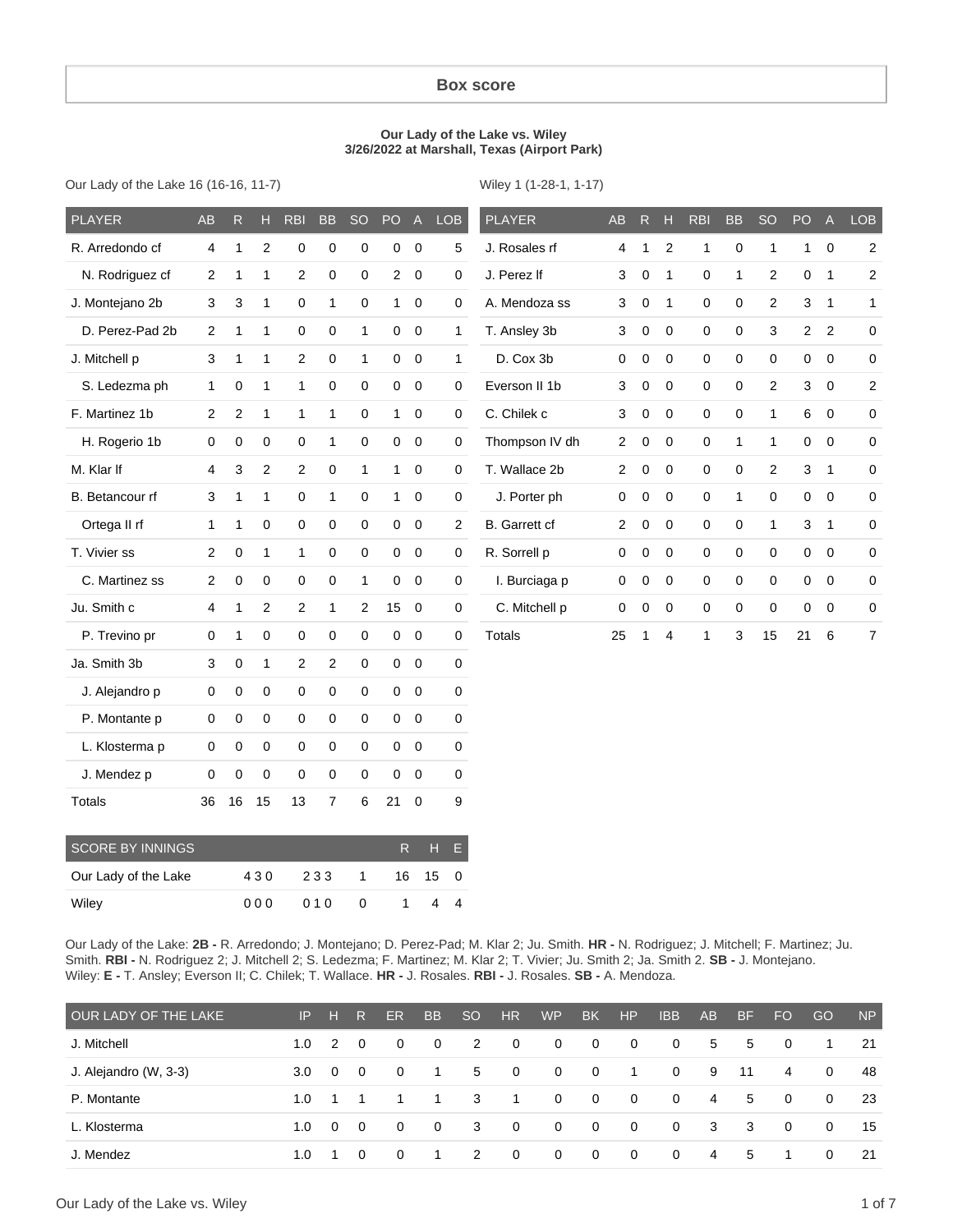#### **Box score**

#### **Our Lady of the Lake vs. Wiley 3/26/2022 at Marshall, Texas (Airport Park)**

Our Lady of the Lake 16 (16-16, 11-7)

Wiley 1 (1-28-1, 1-17)

| <b>PLAYER</b>           | <b>AB</b>      | ${\sf R}$    | H                       | <b>RBI</b>              | <b>BB</b>      | <b>SO</b>        | PO           | $\boldsymbol{\mathsf{A}}$ | LOB                 | <b>PLAYER</b>  | <b>AB</b>      | $\mathsf{R}$     | H              | <b>RBI</b>       | <b>BB</b>        | <b>SO</b>    | PO             | $\overline{A}$   | <b>LOB</b>              |
|-------------------------|----------------|--------------|-------------------------|-------------------------|----------------|------------------|--------------|---------------------------|---------------------|----------------|----------------|------------------|----------------|------------------|------------------|--------------|----------------|------------------|-------------------------|
| R. Arredondo cf         | 4              | 1            | $\overline{\mathbf{c}}$ | 0                       | $\pmb{0}$      | $\pmb{0}$        | $\mathbf 0$  | $\mathbf 0$               | 5                   | J. Rosales rf  | 4              | $\mathbf{1}$     | $\overline{2}$ | $\mathbf{1}$     | $\boldsymbol{0}$ | 1            | 1              | $\,0\,$          | $\overline{\mathbf{c}}$ |
| N. Rodriguez cf         | 2              | 1            | 1                       | 2                       | 0              | 0                |              | $2\quad 0$                | 0                   | J. Perez If    | 3              | 0                | $\mathbf{1}$   | $\pmb{0}$        | 1                | 2            | 0              | $\overline{1}$   | $\sqrt{2}$              |
| J. Montejano 2b         | 3              | 3            | 1                       | 0                       | 1              | 0                | 1            | $\mathbf 0$               | 0                   | A. Mendoza ss  | 3              | $\mathsf 0$      | $\mathbf{1}$   | $\mathbf 0$      | 0                | 2            | 3              | $\mathbf{1}$     | $\mathbf{1}$            |
| D. Perez-Pad 2b         | $\overline{c}$ | $\mathbf{1}$ | 1                       | 0                       | 0              | 1                |              | $0\quad 0$                | $\mathbf{1}$        | T. Ansley 3b   | 3              | $\mathsf 0$      | $\mathbf 0$    | $\mathbf 0$      | 0                | 3            | $\overline{2}$ | $\overline{c}$   | $\pmb{0}$               |
| J. Mitchell p           | 3              | 1            | 1                       | 2                       | 0              | 1                | $\mathbf 0$  | $\overline{0}$            | $\mathbf{1}$        | D. Cox 3b      | 0              | 0                | 0              | 0                | 0                | 0            | 0              | $\boldsymbol{0}$ | 0                       |
| S. Ledezma ph           | $\mathbf{1}$   | 0            | 1                       | $\mathbf{1}$            | 0              | 0                | $\mathbf 0$  | $\mathbf 0$               | 0                   | Everson II 1b  | 3              | 0                | $\mathbf 0$    | 0                | 0                | 2            | 3              | $\mathbf 0$      | 2                       |
| F. Martinez 1b          | 2              | 2            | 1                       | 1                       | 1              | 0                | $\mathbf{1}$ | $\mathbf 0$               | 0                   | C. Chilek c    | 3              | 0                | 0              | 0                | 0                | 1            | 6              | $\mathbf 0$      | 0                       |
| H. Rogerio 1b           | 0              | 0            | $\mathbf 0$             | 0                       | $\mathbf{1}$   | 0                | $\mathbf 0$  | $\mathbf 0$               | 0                   | Thompson IV dh | $\overline{2}$ | $\boldsymbol{0}$ | $\mathbf 0$    | $\boldsymbol{0}$ | $\mathbf{1}$     | $\mathbf{1}$ | $\mathbf 0$    | $\boldsymbol{0}$ | 0                       |
| M. Klar If              | 4              | 3            | 2                       | 2                       | 0              | 1                | 1            | $\mathbf 0$               | 0                   | T. Wallace 2b  | 2              | 0                | 0              | 0                | 0                | 2            | 3              | $\mathbf{1}$     | 0                       |
| B. Betancour rf         | 3              | 1            | 1                       | 0                       | $\mathbf{1}$   | $\pmb{0}$        | $\mathbf{1}$ | $\mathbf 0$               | 0                   | J. Porter ph   | 0              | 0                | $\mathsf 0$    | 0                | 1                | 0            | 0              | $\boldsymbol{0}$ | $\mathsf 0$             |
| Ortega II rf            | 1              | 1            | 0                       | $\mathbf 0$             | 0              | 0                | $\mathbf 0$  | $\pmb{0}$                 | 2                   | B. Garrett cf  | 2              | 0                | $\mathbf 0$    | $\mathbf 0$      | $\mathbf 0$      | 1            | 3              | $\mathbf{1}$     | $\mathsf 0$             |
| T. Vivier ss            | 2              | 0            | $\mathbf{1}$            | 1                       | 0              | $\boldsymbol{0}$ | $\mathbf 0$  | $\mathbf 0$               | 0                   | R. Sorrell p   | 0              | 0                | $\mathbf 0$    | $\boldsymbol{0}$ | $\mathbf 0$      | 0            | 0              | $\boldsymbol{0}$ | 0                       |
| C. Martinez ss          | 2              | 0            | $\mathbf 0$             | 0                       | 0              | $\mathbf{1}$     | 0            | $\mathbf 0$               | 0                   | I. Burciaga p  | 0              | 0                | $\mathbf 0$    | $\mathbf 0$      | $\mathbf 0$      | 0            | $\mathbf 0$    | $\boldsymbol{0}$ | 0                       |
| Ju. Smith c             | 4              | 1            | 2                       | $\overline{\mathbf{c}}$ | $\mathbf{1}$   | $\overline{c}$   | 15           | $\mathbf 0$               | 0                   | C. Mitchell p  | 0              | 0                | 0              | $\mathbf 0$      | $\pmb{0}$        | 0            | 0              | 0                | 0                       |
| P. Trevino pr           | 0              | 1            | 0                       | 0                       | $\pmb{0}$      | $\mathbf 0$      | 0            | $\mathbf 0$               | 0                   | <b>Totals</b>  | 25             | 1                | 4              | 1                | 3                | 15           | 21             | 6                | $\boldsymbol{7}$        |
| Ja. Smith 3b            | 3              | 0            | 1                       | $\overline{\mathbf{c}}$ | $\overline{c}$ | $\boldsymbol{0}$ | $\mathbf 0$  | $\,0\,$                   | 0                   |                |                |                  |                |                  |                  |              |                |                  |                         |
| J. Alejandro p          | $\mathbf 0$    | 0            | 0                       | 0                       | 0              | $\pmb{0}$        | $\mathbf 0$  | $\mathbf 0$               | 0                   |                |                |                  |                |                  |                  |              |                |                  |                         |
| P. Montante p           | $\pmb{0}$      | 0            | 0                       | 0                       | 0              | $\pmb{0}$        | $\mathbf 0$  | $\overline{0}$            | 0                   |                |                |                  |                |                  |                  |              |                |                  |                         |
| L. Klosterma p          | 0              | 0            | 0                       | 0                       | 0              | $\pmb{0}$        |              | $0\quad 0$                | 0                   |                |                |                  |                |                  |                  |              |                |                  |                         |
| J. Mendez p             | 0              | 0            | 0                       | 0                       | 0              | $\mathbf 0$      | $\mathbf 0$  | $\mathbf 0$               | 0                   |                |                |                  |                |                  |                  |              |                |                  |                         |
| Totals                  | 36             | 16           | 15                      | 13                      | $\overline{7}$ | 6                | 210          |                           | 9                   |                |                |                  |                |                  |                  |              |                |                  |                         |
| <b>SCORE BY INNINGS</b> |                |              |                         |                         |                |                  | ${\sf R}$    |                           | H<br>$\mathsf{E}$   |                |                |                  |                |                  |                  |              |                |                  |                         |
| Our Lady of the Lake    |                |              | 430                     |                         | 233            | 1                | 16           |                           | 15<br>$\mathbf 0$   |                |                |                  |                |                  |                  |              |                |                  |                         |
| Wiley                   |                |              | 000                     |                         | 010            | 0                | $\mathbf{1}$ |                           | 4<br>$\overline{4}$ |                |                |                  |                |                  |                  |              |                |                  |                         |

Our Lady of the Lake: **2B -** R. Arredondo; J. Montejano; D. Perez-Pad; M. Klar 2; Ju. Smith. **HR -** N. Rodriguez; J. Mitchell; F. Martinez; Ju. Smith. **RBI -** N. Rodriguez 2; J. Mitchell 2; S. Ledezma; F. Martinez; M. Klar 2; T. Vivier; Ju. Smith 2; Ja. Smith 2. **SB -** J. Montejano. Wiley: **E -** T. Ansley; Everson II; C. Chilek; T. Wallace. **HR -** J. Rosales. **RBI -** J. Rosales. **SB -** A. Mendoza.

| OUR LADY OF THE LAKE  | IP.              | н        | R              | <b>ER</b> | <b>BB</b> | SO.         | <b>HR</b>   | <b>WP</b>    | <b>BK</b>    | <b>HP</b>    | <b>IBB</b> | <b>AB</b> | <b>BF</b> | FO          | GO       | <b>NP</b> |
|-----------------------|------------------|----------|----------------|-----------|-----------|-------------|-------------|--------------|--------------|--------------|------------|-----------|-----------|-------------|----------|-----------|
| J. Mitchell           | 1.0              | 2        | $\Omega$       | $\Omega$  | 0         | 2           | $\mathbf 0$ | $\Omega$     | $\mathbf{0}$ | $\mathbf 0$  | $\Omega$   | 5         | 5         | $\Omega$    | 1.       | -21       |
| J. Alejandro (W, 3-3) | 3.0 <sub>2</sub> | $\Omega$ | - 0            | $\Omega$  | -1        | $5^{\circ}$ | $\mathbf 0$ | $\mathbf{0}$ | - 0          | 1.           | $\Omega$   | 9         | -11       | 4           | $\Omega$ | 48        |
| P. Montante           | 1.0              |          |                |           | 1.        | 3           | -1          | $\mathbf 0$  | $\mathbf{0}$ | $\mathbf 0$  | $\Omega$   | 4         | 5         | $\mathbf 0$ | $\Omega$ | 23        |
| L. Klosterma          | 1.0              | $\Omega$ | $\overline{0}$ | $\Omega$  | $\Omega$  | 3           | $\Omega$    | $\Omega$     | $\mathbf{0}$ | $\mathbf 0$  | $\Omega$   | 3         | -3        | $\Omega$    | $\Omega$ | 15        |
| J. Mendez             | 1.0              |          | 0              | $\Omega$  | 1.        | 2           | $\mathbf 0$ | 0            | 0            | $\mathbf{0}$ | $\Omega$   | 4         | 5         |             | $\Omega$ | -21       |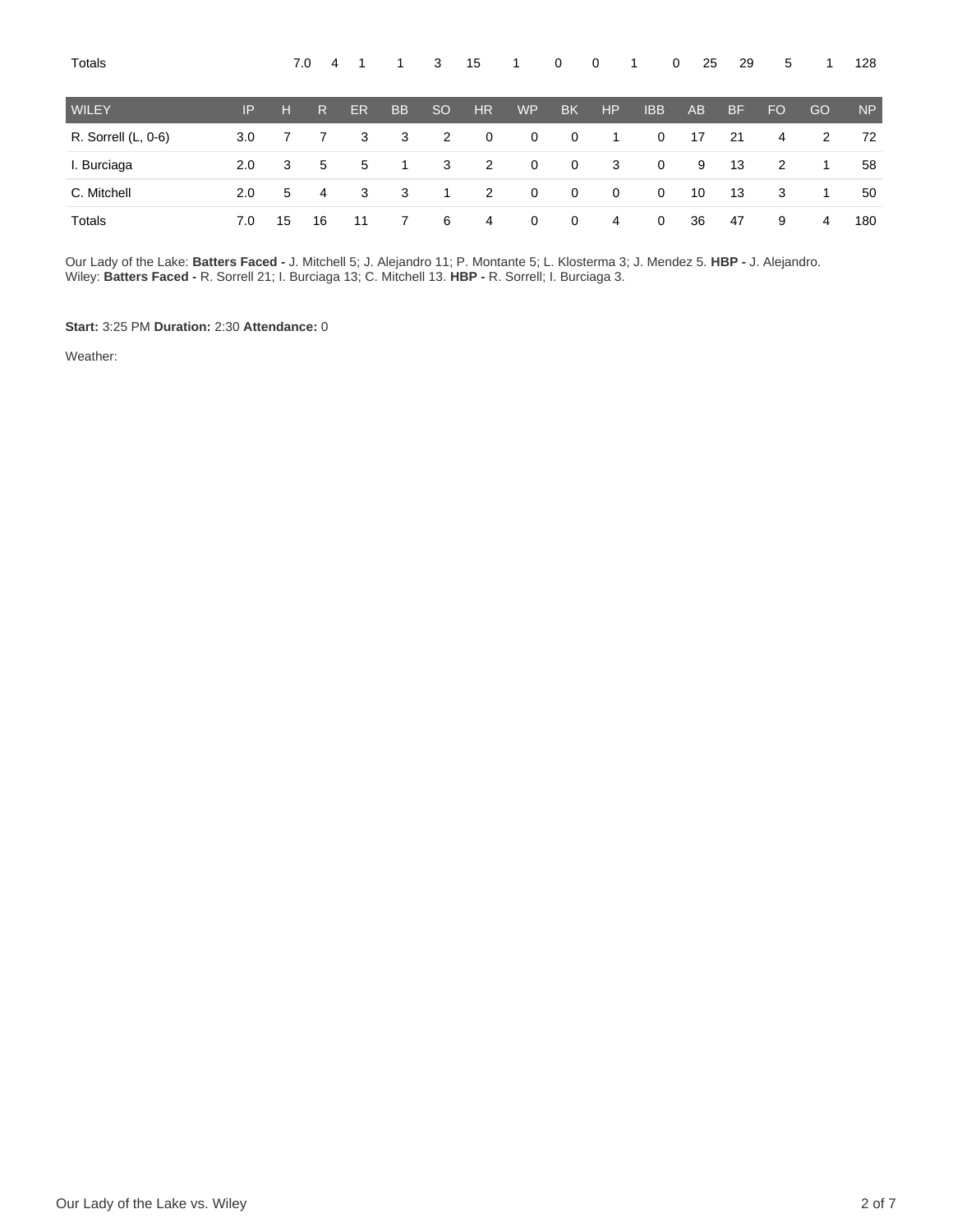| Totals              |     |    | 7.0<br>4 |           |                | 3             | 15             | 1            | $\mathbf{0}$   | $\overline{0}$ | 1           | 25<br>$\mathbf{0}$ | 29        | 5         |     | 128            |
|---------------------|-----|----|----------|-----------|----------------|---------------|----------------|--------------|----------------|----------------|-------------|--------------------|-----------|-----------|-----|----------------|
| <b>WILEY</b>        | IP  | н  | R        | <b>ER</b> | <b>BB</b>      | <sub>SO</sub> | <b>HR</b>      | <b>WP</b>    | <b>BK</b>      | HP             | <b>IBB</b>  | <b>AB</b>          | <b>BF</b> | <b>FO</b> | GO. | N <sub>P</sub> |
| R. Sorrell (L, 0-6) | 3.0 |    |          | 3         | 3              | 2             | $\overline{0}$ | $\mathbf{0}$ | $\overline{0}$ | -1             | 0           | 17                 | 21        | 4         | 2   | 72             |
| I. Burciaga         | 2.0 | 3  | 5        | 5         | $\overline{1}$ | 3             | 2              | $\mathbf{0}$ | $\mathbf{0}$   | 3              | $\mathbf 0$ | 9                  | 13        | 2         | 1.  | 58             |
| C. Mitchell         | 2.0 | 5  | 4        | 3         | 3              | $\mathbf 1$   | 2              | $\mathbf{0}$ | $\overline{0}$ | $\mathbf 0$    | $\mathbf 0$ | 10                 | 13        | 3         | 1   | 50             |
| Totals              | 7.0 | 15 | 16       | 11        |                | 6             | 4              | $\mathbf{0}$ | $\mathbf{0}$   | 4              | $\mathbf 0$ | 36                 | 47        | 9         | 4   | 180            |

Our Lady of the Lake: **Batters Faced -** J. Mitchell 5; J. Alejandro 11; P. Montante 5; L. Klosterma 3; J. Mendez 5. **HBP -** J. Alejandro. Wiley: **Batters Faced -** R. Sorrell 21; I. Burciaga 13; C. Mitchell 13. **HBP -** R. Sorrell; I. Burciaga 3.

**Start:** 3:25 PM **Duration:** 2:30 **Attendance:** 0

Weather: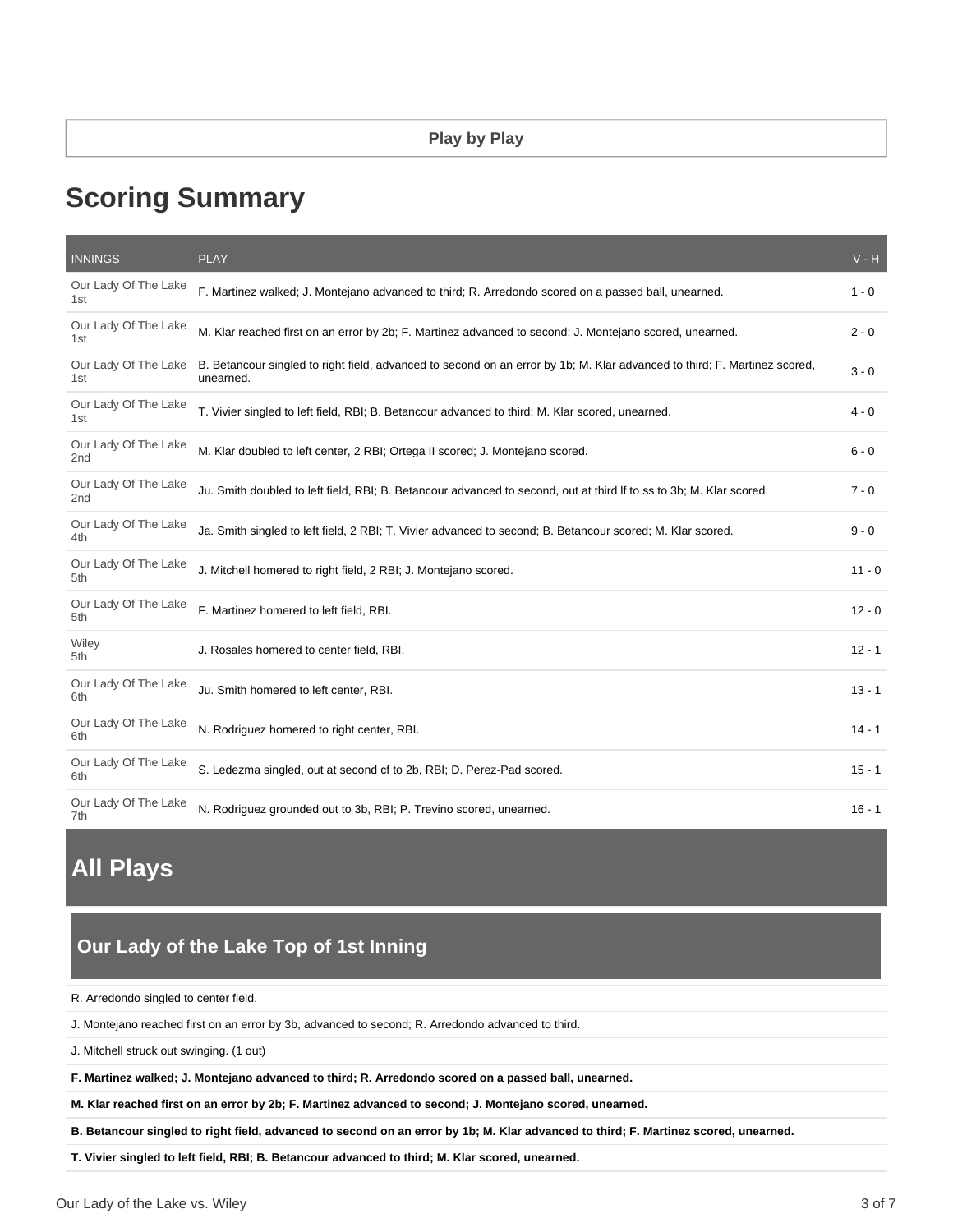# **Scoring Summary**

| <b>INNINGS</b>                          | <b>PLAY</b>                                                                                                                            | $V - H$  |
|-----------------------------------------|----------------------------------------------------------------------------------------------------------------------------------------|----------|
| Our Lady Of The Lake<br>1st             | F. Martinez walked; J. Montejano advanced to third; R. Arredondo scored on a passed ball, unearned.                                    | $1 - 0$  |
| Our Lady Of The Lake<br>1st             | M. Klar reached first on an error by 2b; F. Martinez advanced to second; J. Montejano scored, unearned.                                | $2 - 0$  |
| Our Lady Of The Lake<br>1st             | B. Betancour singled to right field, advanced to second on an error by 1b; M. Klar advanced to third; F. Martinez scored,<br>unearned. | $3 - 0$  |
| Our Lady Of The Lake<br>1st             | T. Vivier singled to left field, RBI; B. Betancour advanced to third; M. Klar scored, unearned.                                        | $4 - 0$  |
| Our Lady Of The Lake<br>2 <sub>nd</sub> | M. Klar doubled to left center, 2 RBI; Ortega II scored; J. Montejano scored.                                                          | $6 - 0$  |
| Our Lady Of The Lake<br>2 <sub>nd</sub> | Ju. Smith doubled to left field, RBI; B. Betancour advanced to second, out at third If to ss to 3b; M. Klar scored.                    | $7 - 0$  |
| Our Lady Of The Lake<br>4th             | Ja. Smith singled to left field, 2 RBI; T. Vivier advanced to second; B. Betancour scored; M. Klar scored.                             | $9 - 0$  |
| Our Lady Of The Lake<br>5th             | J. Mitchell homered to right field, 2 RBI; J. Montejano scored.                                                                        | $11 - 0$ |
| Our Lady Of The Lake<br>5th             | F. Martinez homered to left field, RBI.                                                                                                | $12 - 0$ |
| Wiley<br>5th                            | J. Rosales homered to center field, RBI.                                                                                               | $12 - 1$ |
| Our Lady Of The Lake<br>6th             | Ju. Smith homered to left center, RBI.                                                                                                 | $13 - 1$ |
| Our Lady Of The Lake<br>6th             | N. Rodriguez homered to right center, RBI.                                                                                             | $14 - 1$ |
| Our Lady Of The Lake<br>6th             | S. Ledezma singled, out at second cf to 2b, RBI; D. Perez-Pad scored.                                                                  | $15 - 1$ |
| Our Lady Of The Lake<br>7th             | N. Rodriguez grounded out to 3b, RBI; P. Trevino scored, unearned.                                                                     | $16 - 1$ |

# **All Plays**

## **Our Lady of the Lake Top of 1st Inning**

R. Arredondo singled to center field.

J. Montejano reached first on an error by 3b, advanced to second; R. Arredondo advanced to third.

J. Mitchell struck out swinging. (1 out)

**F. Martinez walked; J. Montejano advanced to third; R. Arredondo scored on a passed ball, unearned.**

**M. Klar reached first on an error by 2b; F. Martinez advanced to second; J. Montejano scored, unearned.**

**B. Betancour singled to right field, advanced to second on an error by 1b; M. Klar advanced to third; F. Martinez scored, unearned.**

**T. Vivier singled to left field, RBI; B. Betancour advanced to third; M. Klar scored, unearned.**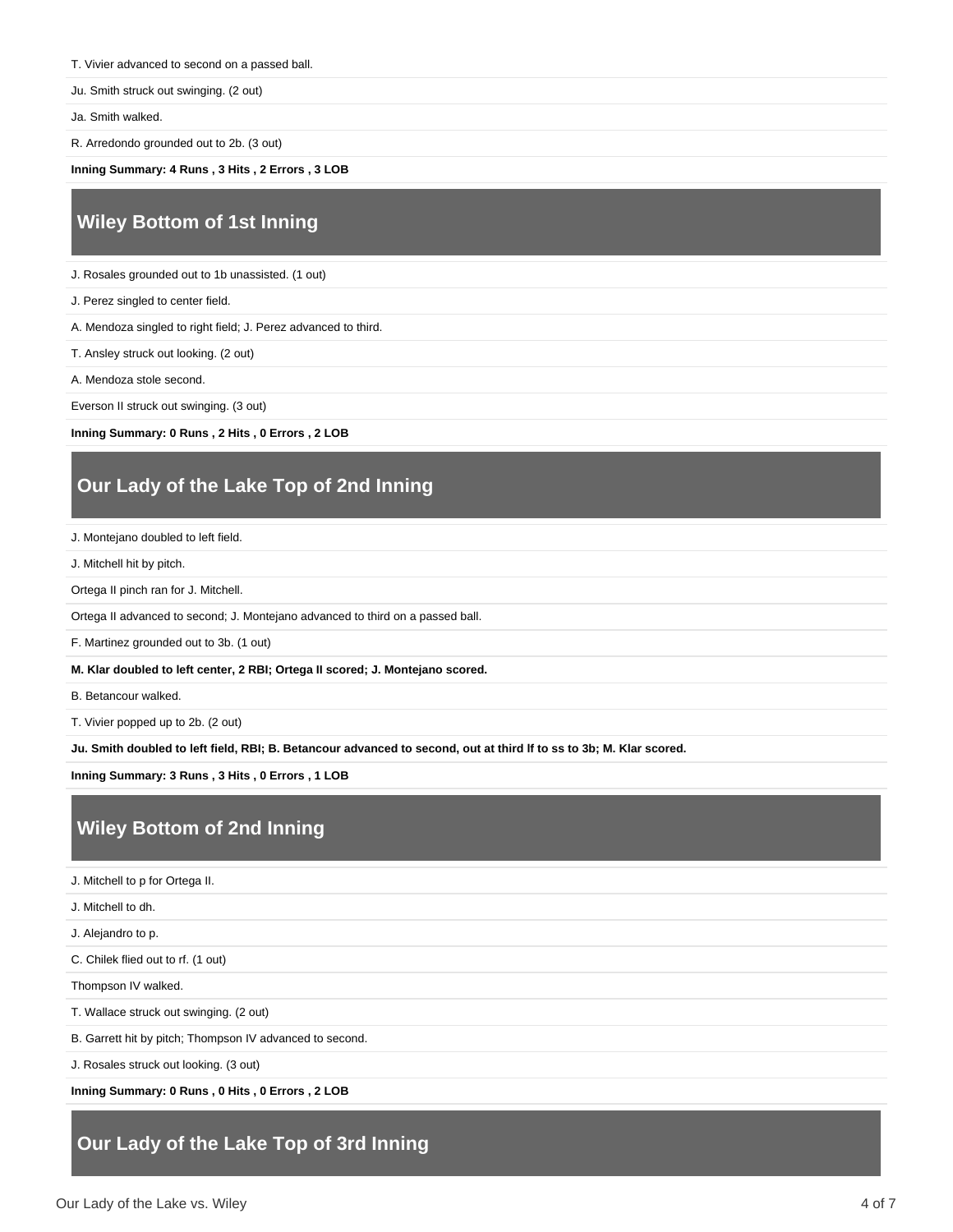#### T. Vivier advanced to second on a passed ball.

Ju. Smith struck out swinging. (2 out)

Ja. Smith walked.

R. Arredondo grounded out to 2b. (3 out)

**Inning Summary: 4 Runs , 3 Hits , 2 Errors , 3 LOB**

# **Wiley Bottom of 1st Inning**

J. Rosales grounded out to 1b unassisted. (1 out)

J. Perez singled to center field.

A. Mendoza singled to right field; J. Perez advanced to third.

T. Ansley struck out looking. (2 out)

A. Mendoza stole second.

Everson II struck out swinging. (3 out)

**Inning Summary: 0 Runs , 2 Hits , 0 Errors , 2 LOB**

### **Our Lady of the Lake Top of 2nd Inning**

J. Montejano doubled to left field.

J. Mitchell hit by pitch.

Ortega II pinch ran for J. Mitchell.

Ortega II advanced to second; J. Montejano advanced to third on a passed ball.

F. Martinez grounded out to 3b. (1 out)

**M. Klar doubled to left center, 2 RBI; Ortega II scored; J. Montejano scored.**

B. Betancour walked.

T. Vivier popped up to 2b. (2 out)

**Ju. Smith doubled to left field, RBI; B. Betancour advanced to second, out at third lf to ss to 3b; M. Klar scored.**

**Inning Summary: 3 Runs , 3 Hits , 0 Errors , 1 LOB**

#### **Wiley Bottom of 2nd Inning**

J. Mitchell to p for Ortega II.

J. Mitchell to dh.

J. Alejandro to p.

C. Chilek flied out to rf. (1 out)

Thompson IV walked.

T. Wallace struck out swinging. (2 out)

B. Garrett hit by pitch; Thompson IV advanced to second.

J. Rosales struck out looking. (3 out)

**Inning Summary: 0 Runs , 0 Hits , 0 Errors , 2 LOB**

#### **Our Lady of the Lake Top of 3rd Inning**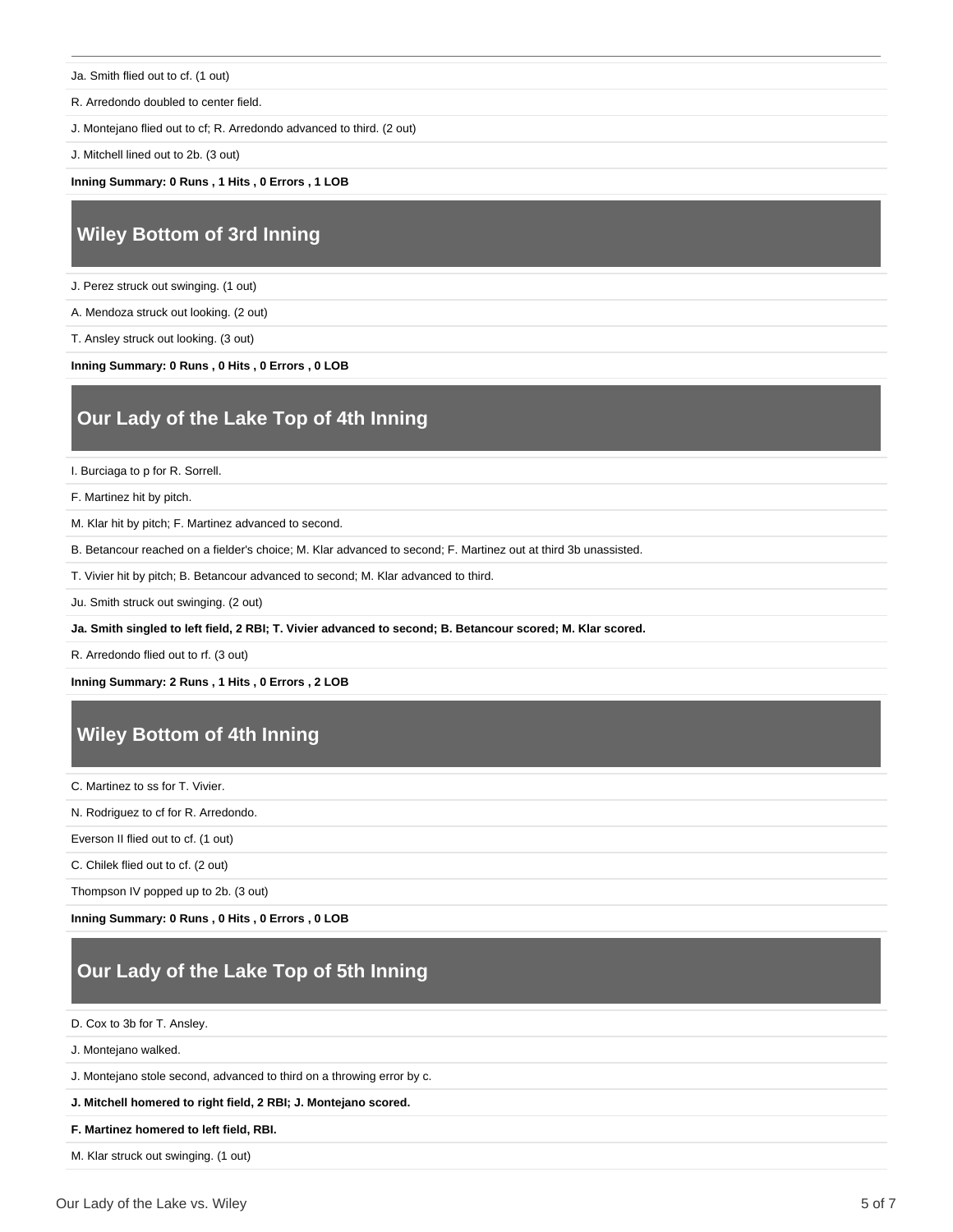Ja. Smith flied out to cf. (1 out)

R. Arredondo doubled to center field.

J. Montejano flied out to cf; R. Arredondo advanced to third. (2 out)

J. Mitchell lined out to 2b. (3 out)

**Inning Summary: 0 Runs , 1 Hits , 0 Errors , 1 LOB**

#### **Wiley Bottom of 3rd Inning**

J. Perez struck out swinging. (1 out)

A. Mendoza struck out looking. (2 out)

T. Ansley struck out looking. (3 out)

**Inning Summary: 0 Runs , 0 Hits , 0 Errors , 0 LOB**

### **Our Lady of the Lake Top of 4th Inning**

I. Burciaga to p for R. Sorrell.

F. Martinez hit by pitch.

M. Klar hit by pitch; F. Martinez advanced to second.

B. Betancour reached on a fielder's choice; M. Klar advanced to second; F. Martinez out at third 3b unassisted.

T. Vivier hit by pitch; B. Betancour advanced to second; M. Klar advanced to third.

Ju. Smith struck out swinging. (2 out)

**Ja. Smith singled to left field, 2 RBI; T. Vivier advanced to second; B. Betancour scored; M. Klar scored.**

R. Arredondo flied out to rf. (3 out)

**Inning Summary: 2 Runs , 1 Hits , 0 Errors , 2 LOB**

#### **Wiley Bottom of 4th Inning**

C. Martinez to ss for T. Vivier.

N. Rodriguez to cf for R. Arredondo.

Everson II flied out to cf. (1 out)

C. Chilek flied out to cf. (2 out)

Thompson IV popped up to 2b. (3 out)

**Inning Summary: 0 Runs , 0 Hits , 0 Errors , 0 LOB**

#### **Our Lady of the Lake Top of 5th Inning**

D. Cox to 3b for T. Ansley.

J. Montejano walked.

J. Montejano stole second, advanced to third on a throwing error by c.

**J. Mitchell homered to right field, 2 RBI; J. Montejano scored.**

#### **F. Martinez homered to left field, RBI.**

M. Klar struck out swinging. (1 out)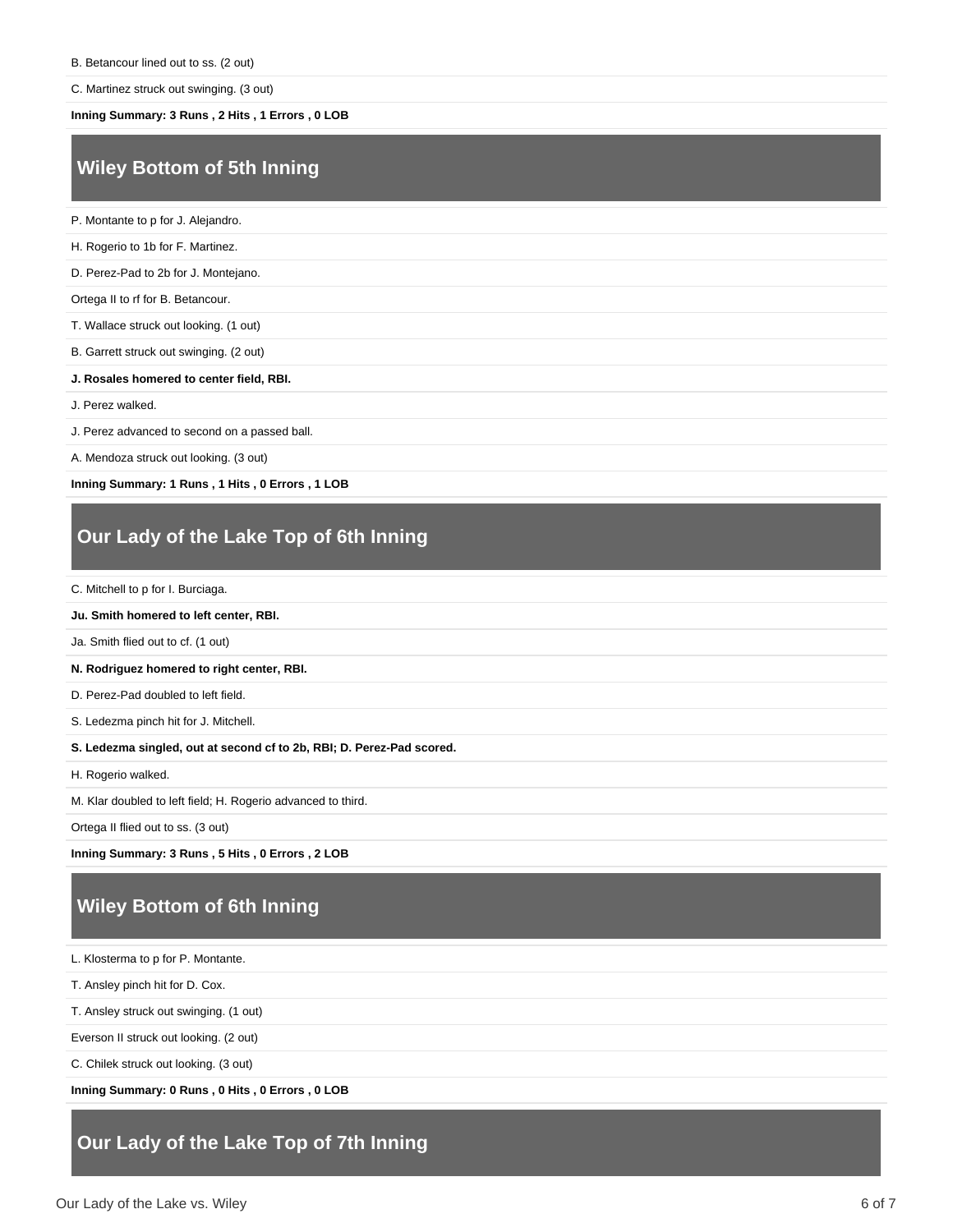C. Martinez struck out swinging. (3 out)

**Inning Summary: 3 Runs , 2 Hits , 1 Errors , 0 LOB**

#### **Wiley Bottom of 5th Inning**

P. Montante to p for J. Alejandro.

H. Rogerio to 1b for F. Martinez.

D. Perez-Pad to 2b for J. Montejano.

Ortega II to rf for B. Betancour.

T. Wallace struck out looking. (1 out)

B. Garrett struck out swinging. (2 out)

#### **J. Rosales homered to center field, RBI.**

J. Perez walked.

J. Perez advanced to second on a passed ball.

A. Mendoza struck out looking. (3 out)

**Inning Summary: 1 Runs , 1 Hits , 0 Errors , 1 LOB**

#### **Our Lady of the Lake Top of 6th Inning**

C. Mitchell to p for I. Burciaga.

**Ju. Smith homered to left center, RBI.**

Ja. Smith flied out to cf. (1 out)

**N. Rodriguez homered to right center, RBI.**

D. Perez-Pad doubled to left field.

S. Ledezma pinch hit for J. Mitchell.

**S. Ledezma singled, out at second cf to 2b, RBI; D. Perez-Pad scored.**

H. Rogerio walked.

M. Klar doubled to left field; H. Rogerio advanced to third.

Ortega II flied out to ss. (3 out)

**Inning Summary: 3 Runs , 5 Hits , 0 Errors , 2 LOB**

#### **Wiley Bottom of 6th Inning**

L. Klosterma to p for P. Montante.

T. Ansley pinch hit for D. Cox.

T. Ansley struck out swinging. (1 out)

Everson II struck out looking. (2 out)

C. Chilek struck out looking. (3 out)

**Inning Summary: 0 Runs , 0 Hits , 0 Errors , 0 LOB**

#### **Our Lady of the Lake Top of 7th Inning**